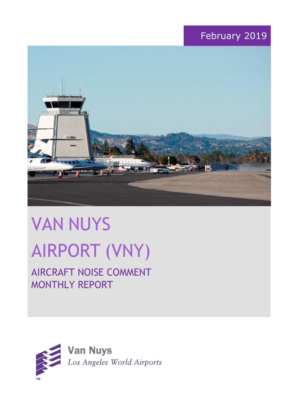## February 2019



# VAN NUYS AIRPORT (VNY)

# AIRCRAFT NOISE COMMENT MONTHLY REPORT

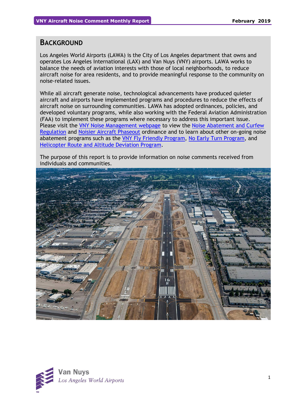#### **BACKGROUND**

Los Angeles World Airports (LAWA) is the City of Los Angeles department that owns and operates Los Angeles International (LAX) and Van Nuys (VNY) airports. LAWA works to balance the needs of aviation interests with those of local neighborhoods, to reduce aircraft noise for area residents, and to provide meaningful response to the community on noise-related issues.

While all aircraft generate noise, technological advancements have produced quieter aircraft and airports have implemented programs and procedures to reduce the effects of aircraft noise on surrounding communities. LAWA has adopted ordinances, policies, and developed voluntary programs, while also working with the Federal Aviation Administration (FAA) to implement these programs where necessary to address this important issue. Please visit the [VNY Noise Management webpage](http://www.lawa.org/VNYNoise) to view the [Noise Abatement and Curfew](https://www.lawa.org/-/media/lawa-web/tenants411/file/noise_programs.ashx?la=en&hash=86DDE7D9764689AC37E24CD4FAA33C7FE9FC8DA1#"page=7" )  [Regulation](https://www.lawa.org/-/media/lawa-web/tenants411/file/noise_programs.ashx?la=en&hash=86DDE7D9764689AC37E24CD4FAA33C7FE9FC8DA1#"page=7" ) and [Noisier Aircraft Phaseout](https://www.lawa.org/-/media/lawa-web/tenants411/file/noise_programs.ashx?la=en&hash=86DDE7D9764689AC37E24CD4FAA33C7FE9FC8DA1#page=7) ordinance and to learn about other on-going noise abatement programs such as the [VNY Fly Friendly Program,](https://www.lawa.org/en/lawa-environment/noise-management/van-nuys/vny-fly-friendly-quiet-departure-program) [No Early Turn Program,](https://prodcd.iflyvny.com/en/no-early-turn) and [Helicopter Route and Altitude Deviation Program.](https://www.lawa.org/-/media/lawa-web/tenants411/file/noise_programs.ashx?la=en&hash=86DDE7D9764689AC37E24CD4FAA33C7FE9FC8DA1#"page=8")

The purpose of this report is to provide information on noise comments received from individuals and communities.



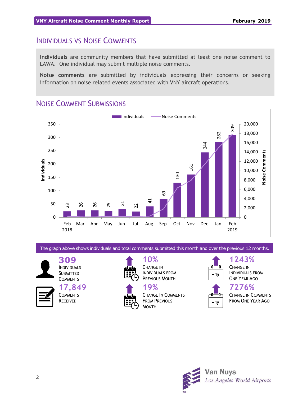### INDIVIDUALS VS NOISE COMMENTS

**Individuals** are community members that have submitted at least one noise comment to LAWA. One individual may submit multiple noise comments.

**Noise comments** are submitted by individuals expressing their concerns or seeking information on noise related events associated with VNY aircraft operations.

## NOISE COMMENT SUBMISSIONS



The graph above shows individuals and total comments submitted this month and over the previous 12 months.

**309** INDIVIDUALS **SUBMITTED COMMENTS** 

> **17,849 COMMENTS** RECEIVED



**10%** CHANGE IN INDIVIDUALS FROM PREVIOUS MONTH

**19%** CHANGE IN COMMENTS FROM PREVIOUS MONTH



CHANGE IN INDIVIDUALS FROM ONE YEAR AGO

**1243%**



**7276%** CHANGE IN COMMENTS FROM ONE YEAR AGO

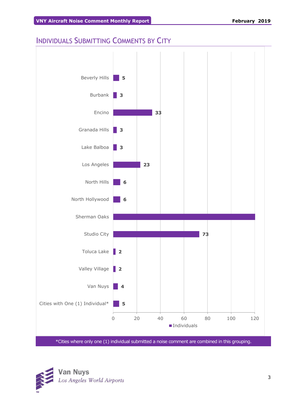## INDIVIDUALS SUBMITTING COMMENTS BY CITY



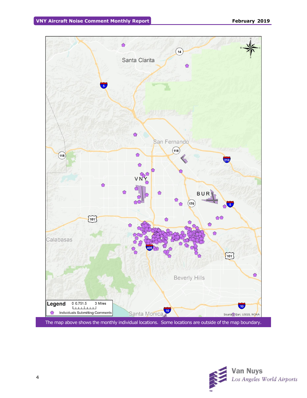

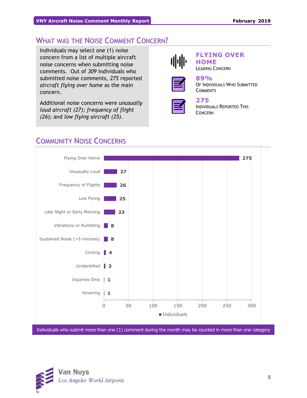## WHAT WAS THE NOISE COMMENT CONCERN?

Individuals may select one (1) noise concern from a list of multiple aircraft noise concerns when submitting noise comments. Out of *309* individuals who submitted noise comments, *275* reported *aircraft flying over home* as the main concern.

Additional noise concerns were *unusually loud aircraft (27); frequency of flight (26);* and *low flying aircraft (25)*.



#### **FLYING OVER HOME**

LEADING CONCERN



**89%** OF INDIVIDUALS WHO SUBMITTED **COMMENTS** 



## **275**

INDIVIDUALS REPORTED THIS CONCERN

## COMMUNITY NOISE CONCERNS



Individuals who submit more than one (1) comment during the month may be counted in more than one category